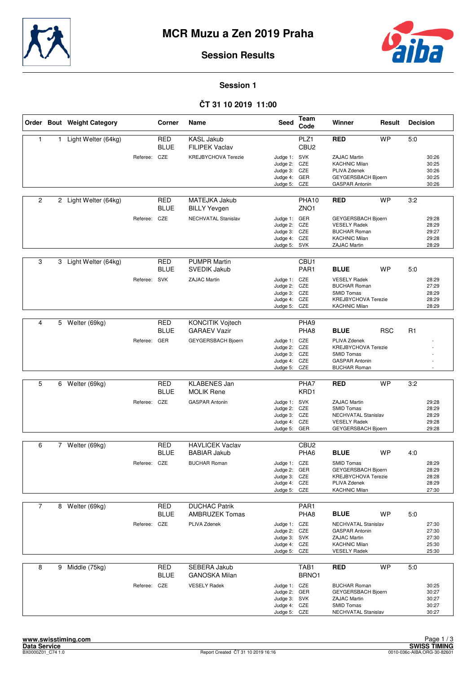



### **Session Results**

**Session 1**

# **ČT 31 10 2019 11:00**

|                |   | Order Bout Weight Category |              | Corner                    | Name                                           | <b>Seed</b>                                                                  | Team<br>Code              | Winner                                                                                                                | Result     | <b>Decision</b> |                                           |
|----------------|---|----------------------------|--------------|---------------------------|------------------------------------------------|------------------------------------------------------------------------------|---------------------------|-----------------------------------------------------------------------------------------------------------------------|------------|-----------------|-------------------------------------------|
| $\mathbf{1}$   | 1 | Light Welter (64kg)        |              | <b>RED</b><br><b>BLUE</b> | <b>KASL Jakub</b><br><b>FILIPEK Vaclav</b>     |                                                                              | PLZ1<br>CBU <sub>2</sub>  | <b>RED</b>                                                                                                            | <b>WP</b>  | 5:0             |                                           |
|                |   |                            | Referee: CZE |                           | <b>KREJBYCHOVA Terezie</b>                     | Judge 1: SVK<br>Judge 2: CZE<br>Judge 3: CZE<br>Judge 4: GER<br>Judge 5: CZE |                           | <b>ZAJAC Martin</b><br><b>KACHNIC Milan</b><br>PLIVA Zdenek<br>GEYGERSBACH Bjoern<br><b>GASPAR Antonin</b>            |            |                 | 30:26<br>30:25<br>30:26<br>30:25<br>30:26 |
| $\overline{2}$ |   | 2 Light Welter (64kg)      |              | <b>RED</b><br><b>BLUE</b> | MATEJKA Jakub<br><b>BILLY Yevgen</b>           |                                                                              | PHA10<br>ZNO <sub>1</sub> | <b>RED</b>                                                                                                            | <b>WP</b>  | 3:2             |                                           |
|                |   |                            | Referee: CZE |                           | <b>NECHVATAL Stanislav</b>                     | Judge 1: GER<br>Judge 2: CZE<br>Judge 3: CZE<br>Judge 4: CZE<br>Judge 5: SVK |                           | GEYGERSBACH Bjoern<br><b>VESELY Radek</b><br><b>BUCHAR Roman</b><br><b>KACHNIC Milan</b><br>ZAJAC Martin              |            |                 | 29:28<br>28:29<br>29:27<br>29:28<br>28:29 |
| 3              | 3 | Light Welter (64kg)        |              | <b>RED</b><br><b>BLUE</b> | <b>PUMPR Martin</b><br><b>SVEDIK Jakub</b>     |                                                                              | CBU1<br>PAR <sub>1</sub>  | <b>BLUE</b>                                                                                                           | <b>WP</b>  | 5:0             |                                           |
|                |   |                            | Referee: SVK |                           | <b>ZAJAC Martin</b>                            | Judge 1: CZE<br>Judge 2: CZE<br>Judge 3: CZE<br>Judge 4: CZE<br>Judge 5:     | CZE                       | <b>VESELY Radek</b><br><b>BUCHAR Roman</b><br><b>SMID Tomas</b><br><b>KREJBYCHOVA Terezie</b><br><b>KACHNIC Milan</b> |            |                 | 28:29<br>27:29<br>28:29<br>28:29<br>28:29 |
| 4              | 5 | Welter (69kg)              |              | <b>RED</b><br><b>BLUE</b> | <b>KONCITIK Vojtech</b><br><b>GARAEV Vazir</b> |                                                                              | PHA <sub>9</sub><br>PHA8  | <b>BLUE</b>                                                                                                           | <b>RSC</b> | R1              |                                           |
|                |   |                            | Referee: GER |                           | GEYGERSBACH Bjoern                             | Judge 1: CZE<br>Judge 2: CZE<br>Judge 3: CZE<br>Judge 4: CZE<br>Judge 5: CZE |                           | PLIVA Zdenek<br><b>KREJBYCHOVA Terezie</b><br><b>SMID Tomas</b><br><b>GASPAR Antonin</b><br><b>BUCHAR Roman</b>       |            |                 |                                           |
|                |   |                            |              |                           |                                                |                                                                              |                           |                                                                                                                       |            |                 |                                           |
| 5              | 6 | Welter (69kg)              |              | <b>RED</b><br><b>BLUE</b> | <b>KLABENES Jan</b><br><b>MOLIK Rene</b>       |                                                                              | PHA7<br>KRD1              | <b>RED</b>                                                                                                            | <b>WP</b>  | 3:2             |                                           |
|                |   |                            | Referee: CZE |                           | <b>GASPAR Antonin</b>                          | Judge 1: SVK<br>Judge 2: CZE<br>Judge 3: CZE<br>Judge 4: CZE<br>Judge 5: GER |                           | <b>ZAJAC Martin</b><br><b>SMID Tomas</b><br>NECHVATAL Stanislav<br><b>VESELY Radek</b><br>GEYGERSBACH Bjoern          |            |                 | 29:28<br>28:29<br>28:29<br>29:28<br>29:28 |
| 6              |   | 7 Welter (69kg)            |              | <b>RED</b>                | <b>HAVLICEK Vaclav</b>                         |                                                                              | CBU <sub>2</sub>          |                                                                                                                       |            |                 |                                           |
|                |   |                            |              | <b>BLUE</b>               | <b>BABIAR Jakub</b>                            |                                                                              | PHA6                      | <b>BLUE</b>                                                                                                           | <b>WP</b>  | 4:0             |                                           |
|                |   |                            | Referee: CZE |                           | <b>BUCHAR Roman</b>                            | Judge 1: CZE<br>Judge 2: GER<br>Judge 3: CZE<br>Judge 4: CZE<br>Judge 5: CZE |                           | <b>SMID Tomas</b><br>GEYGERSBACH Bjoern<br><b>KREJBYCHOVA Terezie</b><br>PLIVA Zdenek<br><b>KACHNIC Milan</b>         |            |                 | 28:29<br>28:29<br>28:28<br>28:29<br>27:30 |
| $\overline{7}$ |   | 8 Welter (69kg)            |              | RED                       | <b>DUCHAC Patrik</b>                           |                                                                              | PAR1                      |                                                                                                                       |            |                 |                                           |
|                |   |                            |              | <b>BLUE</b>               | <b>AMBRUZEK Tomas</b>                          |                                                                              | PHA8                      | <b>BLUE</b>                                                                                                           | WP         | 5:0             |                                           |
|                |   |                            | Referee: CZE |                           | PLIVA Zdenek                                   | Judge 1: CZE<br>Judge 2: CZE<br>Judge 3: SVK<br>Judge 4: CZE<br>Judge 5: CZE |                           | NECHVATAL Stanislav<br><b>GASPAR Antonin</b><br>ZAJAC Martin<br><b>KACHNIC Milan</b><br><b>VESELY Radek</b>           |            |                 | 27:30<br>27:30<br>27:30<br>25:30<br>25:30 |
| 8              |   | 9 Middle (75kg)            |              | RED<br><b>BLUE</b>        | SEBERA Jakub<br><b>GANOSKA Milan</b>           |                                                                              | TAB1<br>BRNO1             | <b>RED</b>                                                                                                            | <b>WP</b>  | 5:0             |                                           |
|                |   |                            | Referee: CZE |                           | <b>VESELY Radek</b>                            | Judge 1: CZE<br>Judge 2: GER<br>Judge 3: SVK<br>Judge 4: CZE<br>Judge 5: CZE |                           | <b>BUCHAR Roman</b><br>GEYGERSBACH Bjoern<br>ZAJAC Martin<br><b>SMID Tomas</b><br>NECHVATAL Stanislav                 |            |                 | 30:25<br>30:27<br>30:27<br>30:27<br>30:27 |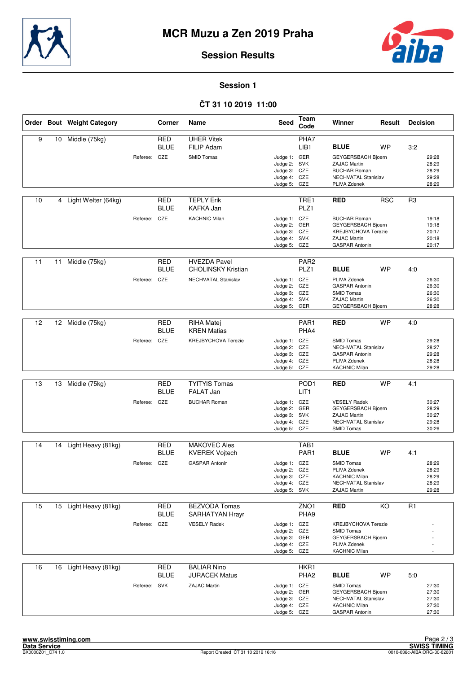



### **Session Results**

**Session 1**

# **ČT 31 10 2019 11:00**

|    |    | Order Bout Weight Category |              | Corner                    | Name                                             | <b>Seed</b>                                                                  | Team<br>Code                         | Winner                                                                                                                  | Result          | <b>Decision</b> |                                           |
|----|----|----------------------------|--------------|---------------------------|--------------------------------------------------|------------------------------------------------------------------------------|--------------------------------------|-------------------------------------------------------------------------------------------------------------------------|-----------------|-----------------|-------------------------------------------|
| 9  | 10 | Middle (75kg)              |              | <b>RED</b><br><b>BLUE</b> | <b>UHER Vitek</b><br>FILIP Adam                  |                                                                              | PHA7<br>LIB1                         | <b>BLUE</b>                                                                                                             | <b>WP</b>       | 3:2             |                                           |
|    |    |                            | Referee: CZE |                           | <b>SMID Tomas</b>                                | Judge 1: GER<br>Judge 2: SVK<br>Judge 3: CZE<br>Judge 4: CZE<br>Judge 5: CZE |                                      | GEYGERSBACH Bjoern<br><b>ZAJAC Martin</b><br><b>BUCHAR Roman</b><br>NECHVATAL Stanislav<br>PLIVA Zdenek                 |                 |                 | 29:28<br>28:29<br>28:29<br>29:28<br>28:29 |
| 10 |    | 4 Light Welter (64kg)      |              | <b>RED</b><br><b>BLUE</b> | <b>TEPLY Erik</b><br>KAFKA Jan                   |                                                                              | TRE1<br>PLZ <sub>1</sub>             | <b>RED</b>                                                                                                              | <b>RSC</b>      | R3              |                                           |
|    |    |                            | Referee: CZE |                           | <b>KACHNIC Milan</b>                             | Judge 1: CZE<br>Judge 2: GER<br>Judge 3: CZE<br>Judge 4: SVK<br>Judge 5: CZE |                                      | <b>BUCHAR Roman</b><br>GEYGERSBACH Bjoern<br><b>KREJBYCHOVA Terezie</b><br><b>ZAJAC Martin</b><br><b>GASPAR Antonin</b> |                 |                 | 19:18<br>19:18<br>20:17<br>20:18<br>20:17 |
| 11 | 11 | Middle (75kg)              |              | <b>RED</b>                | <b>HVEZDA Pavel</b><br><b>CHOLINSKY Kristian</b> |                                                                              | PAR <sub>2</sub><br>PLZ1             | <b>BLUE</b>                                                                                                             |                 | 4:0             |                                           |
|    |    |                            | Referee: CZE | BLUE                      | NECHVATAL Stanislav                              | Judge 1: CZE<br>Judge 2: CZE<br>Judge 3: CZE<br>Judge 4: SVK<br>Judge 5: GER |                                      | PLIVA Zdenek<br><b>GASPAR Antonin</b><br><b>SMID Tomas</b><br><b>ZAJAC Martin</b><br>GEYGERSBACH Bjoern                 | WP              |                 | 26:30<br>26:30<br>26:30<br>26:30<br>28:28 |
| 12 |    | 12 Middle (75kg)           |              | <b>RED</b>                | RIHA Matej                                       |                                                                              | PAR1                                 | <b>RED</b>                                                                                                              | <b>WP</b>       | 4:0             |                                           |
|    |    |                            | Referee: CZE | <b>BLUE</b>               | <b>KREN Matias</b><br>KREJBYCHOVA Terezie        | Judge 1: CZE<br>Judge 2: CZE<br>Judge 3: CZE<br>Judge 4: CZE<br>Judge 5: CZE | PHA4                                 | <b>SMID Tomas</b><br>NECHVATAL Stanislav<br><b>GASPAR Antonin</b><br>PLIVA Zdenek<br><b>KACHNIC Milan</b>               |                 |                 | 29:28<br>28:27<br>29:28<br>28:28<br>29:28 |
|    |    |                            |              |                           |                                                  |                                                                              |                                      |                                                                                                                         |                 |                 |                                           |
| 13 | 13 | Middle (75kg)              |              | <b>RED</b><br><b>BLUE</b> | <b>TYITYIS Tomas</b><br><b>FALAT Jan</b>         |                                                                              | POD <sub>1</sub><br>LIT <sub>1</sub> | <b>RED</b>                                                                                                              | <b>WP</b>       | 4:1             |                                           |
|    |    |                            | Referee: CZE |                           | <b>BUCHAR Roman</b>                              | Judge 1: CZE<br>Judge 2: GER<br>Judge 3: SVK<br>Judge 4: CZE<br>Judge 5: CZE |                                      | <b>VESELY Radek</b><br>GEYGERSBACH Bjoern<br><b>ZAJAC Martin</b><br>NECHVATAL Stanislav<br><b>SMID Tomas</b>            |                 |                 | 30:27<br>28:29<br>30:27<br>29:28<br>30:26 |
| 14 |    | 14 Light Heavy (81kg)      |              | <b>RED</b>                | <b>MAKOVEC Ales</b>                              |                                                                              | TAB1                                 |                                                                                                                         |                 |                 |                                           |
|    |    |                            |              | <b>BLUE</b>               | <b>KVEREK Vojtech</b>                            |                                                                              | PAR1                                 | <b>BLUE</b>                                                                                                             | <b>WP</b>       | 4:1             |                                           |
|    |    |                            | Referee: CZE |                           | <b>GASPAR Antonin</b>                            | Judge 1: CZE<br>Judge 2: CZE<br>Judge 3: CZE<br>Judge 4: CZE<br>Judge 5: SVK |                                      | <b>SMID Tomas</b><br>PLIVA Zdenek<br><b>KACHNIC Milan</b><br>NECHVATAL Stanislav<br>ZAJAC Martin                        |                 |                 | 28:29<br>28:29<br>28:29<br>28:29<br>29:28 |
| 15 | 15 | Light Heavy (81kg)         |              | <b>RED</b><br><b>BLUE</b> | <b>BEZVODA Tomas</b><br>SARHATYAN Hrayr          |                                                                              | ZNO1<br>PHA9                         | <b>RED</b>                                                                                                              | $\overline{KO}$ | R <sub>1</sub>  |                                           |
|    |    |                            | Referee: CZE |                           | <b>VESELY Radek</b>                              | Judge 1: CZE<br>Judge 2: CZE<br>Judge 3: GER<br>Judge 4: CZE<br>Judge 5:     | CZE                                  | <b>KREJBYCHOVA Terezie</b><br><b>SMID Tomas</b><br>GEYGERSBACH Bjoern<br>PLIVA Zdenek<br><b>KACHNIC Milan</b>           |                 |                 |                                           |
| 16 |    | 16 Light Heavy (81kg)      |              | RED<br><b>BLUE</b>        | <b>BALIAR Nino</b><br><b>JURACEK Matus</b>       |                                                                              | HKR1<br>PHA <sub>2</sub>             | <b>BLUE</b>                                                                                                             | <b>WP</b>       | 5:0             |                                           |
|    |    |                            | Referee: SVK |                           | <b>ZAJAC Martin</b>                              | Judge 1: CZE<br>Judge 2: GER<br>Judge 3: CZE<br>Judge 4: CZE<br>Judge 5: CZE |                                      | SMID Tomas<br>GEYGERSBACH Bjoern<br>NECHVATAL Stanislav<br><b>KACHNIC Milan</b><br><b>GASPAR Antonin</b>                |                 |                 | 27:30<br>27:30<br>27:30<br>27:30<br>27:30 |